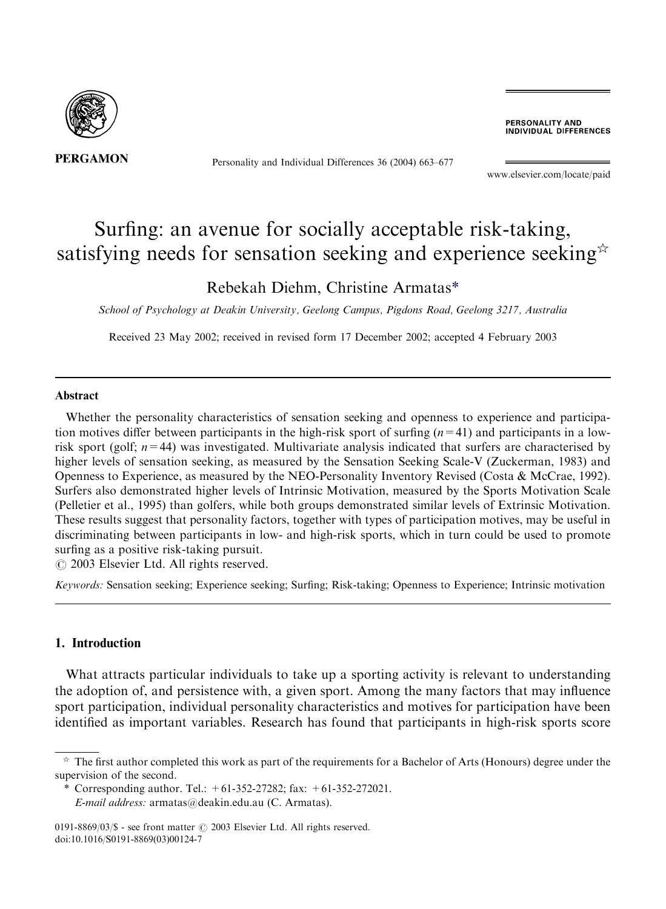

Personality and Individual Differences 36 (2004) 663–677

PERSONALITY AND **INDIVIDUAL DIFFERENCES** 

[www.elsevier.com/locate/paid](http://www.elsevier.com/locate/paid/a4.3d)

# Surfing: an avenue for socially acceptable risk-taking, satisfying needs for sensation seeking and experience seeking $\dot{\alpha}$

### Rebekah Diehm, Christine Armatas\*

School of Psychology at Deakin University, Geelong Campus, Pigdons Road, Geelong 3217, Australia

Received 23 May 2002; received in revised form 17 December 2002; accepted 4 February 2003

#### Abstract

Whether the personality characteristics of sensation seeking and openness to experience and participation motives differ between participants in the high-risk sport of surfing  $(n=41)$  and participants in a lowrisk sport (golf;  $n=44$ ) was investigated. Multivariate analysis indicated that surfers are characterised by higher levels of sensation seeking, as measured by the Sensation Seeking Scale-V (Zuckerman, 1983) and Openness to Experience, as measured by the NEO-Personality Inventory Revised (Costa & McCrae, 1992). Surfers also demonstrated higher levels of Intrinsic Motivation, measured by the Sports Motivation Scale (Pelletier et al., 1995) than golfers, while both groups demonstrated similar levels of Extrinsic Motivation. These results suggest that personality factors, together with types of participation motives, may be useful in discriminating between participants in low- and high-risk sports, which in turn could be used to promote surfing as a positive risk-taking pursuit.

 $\odot$  2003 Elsevier Ltd. All rights reserved.

Keywords: Sensation seeking; Experience seeking; Surfing; Risk-taking; Openness to Experience; Intrinsic motivation

### 1. Introduction

What attracts particular individuals to take up a sporting activity is relevant to understanding the adoption of, and persistence with, a given sport. Among the many factors that may influence sport participation, individual personality characteristics and motives for participation have been identified as important variables. Research has found that participants in high-risk sports score

 $\dot{\gamma}$  The first author completed this work as part of the requirements for a Bachelor of Arts (Honours) degree under the supervision of the second.

<sup>\*</sup> Corresponding author. Tel.:  $+61-352-27282$ ; fax:  $+61-352-272021$ . E-mail address: [armatas@deakin.edu.au](mailto:armatas@deakin.edu.au) (C. Armatas).

<sup>0191-8869/03/\$ -</sup> see front matter  $\odot$  2003 Elsevier Ltd. All rights reserved. doi:10.1016/S0191-8869(03)00124-7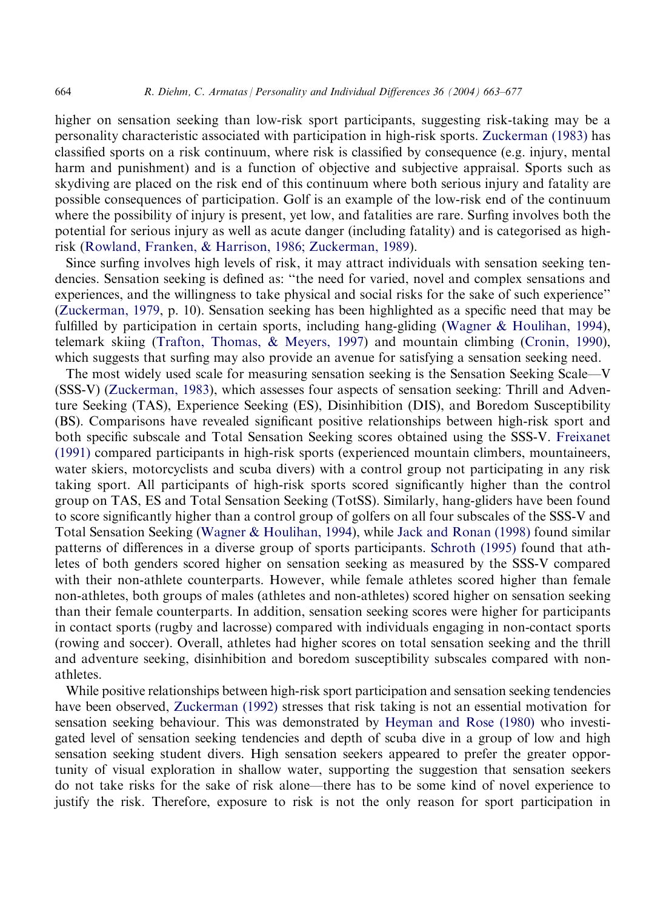higher on sensation seeking than low-risk sport participants, suggesting risk-taking may be a personality characteristic associated with participation in high-risk sports. [Zuckerman \(1983\)](#page--1-0) has classified sports on a risk continuum, where risk is classified by consequence (e.g. injury, mental harm and punishment) and is a function of objective and subjective appraisal. Sports such as skydiving are placed on the risk end of this continuum where both serious injury and fatality are possible consequences of participation. Golf is an example of the low-risk end of the continuum where the possibility of injury is present, yet low, and fatalities are rare. Surfing involves both the potential for serious injury as well as acute danger (including fatality) and is categorised as highrisk [\(Rowland, Franken, & Harrison, 1986; Zuckerman, 1989\)](#page--1-0).

Since surfing involves high levels of risk, it may attract individuals with sensation seeking tendencies. Sensation seeking is defined as: ''the need for varied, novel and complex sensations and experiences, and the willingness to take physical and social risks for the sake of such experience'' [\(Zuckerman, 1979,](#page--1-0) p. 10). Sensation seeking has been highlighted as a specific need that may be fulfilled by participation in certain sports, including hang-gliding ([Wagner & Houlihan, 1994](#page--1-0)), telemark skiing ([Trafton, Thomas, & Meyers, 1997](#page--1-0)) and mountain climbing [\(Cronin, 1990](#page--1-0)), which suggests that surfing may also provide an avenue for satisfying a sensation seeking need.

The most widely used scale for measuring sensation seeking is the Sensation Seeking Scale—V (SSS-V) ([Zuckerman, 1983](#page--1-0)), which assesses four aspects of sensation seeking: Thrill and Adventure Seeking (TAS), Experience Seeking (ES), Disinhibition (DIS), and Boredom Susceptibility (BS). Comparisons have revealed significant positive relationships between high-risk sport and both specific subscale and Total Sensation Seeking scores obtained using the SSS-V. [Freixanet](#page--1-0) [\(1991\)](#page--1-0) compared participants in high-risk sports (experienced mountain climbers, mountaineers, water skiers, motorcyclists and scuba divers) with a control group not participating in any risk taking sport. All participants of high-risk sports scored significantly higher than the control group on TAS, ES and Total Sensation Seeking (TotSS). Similarly, hang-gliders have been found to score significantly higher than a control group of golfers on all four subscales of the SSS-V and Total Sensation Seeking [\(Wagner & Houlihan, 1994\)](#page--1-0), while [Jack and Ronan \(1998\)](#page--1-0) found similar patterns of differences in a diverse group of sports participants. [Schroth \(1995\)](#page--1-0) found that athletes of both genders scored higher on sensation seeking as measured by the SSS-V compared with their non-athlete counterparts. However, while female athletes scored higher than female non-athletes, both groups of males (athletes and non-athletes) scored higher on sensation seeking than their female counterparts. In addition, sensation seeking scores were higher for participants in contact sports (rugby and lacrosse) compared with individuals engaging in non-contact sports (rowing and soccer). Overall, athletes had higher scores on total sensation seeking and the thrill and adventure seeking, disinhibition and boredom susceptibility subscales compared with nonathletes.

While positive relationships between high-risk sport participation and sensation seeking tendencies have been observed, [Zuckerman \(1992\)](#page--1-0) stresses that risk taking is not an essential motivation for sensation seeking behaviour. This was demonstrated by [Heyman and Rose \(1980\)](#page--1-0) who investigated level of sensation seeking tendencies and depth of scuba dive in a group of low and high sensation seeking student divers. High sensation seekers appeared to prefer the greater opportunity of visual exploration in shallow water, supporting the suggestion that sensation seekers do not take risks for the sake of risk alone—there has to be some kind of novel experience to justify the risk. Therefore, exposure to risk is not the only reason for sport participation in